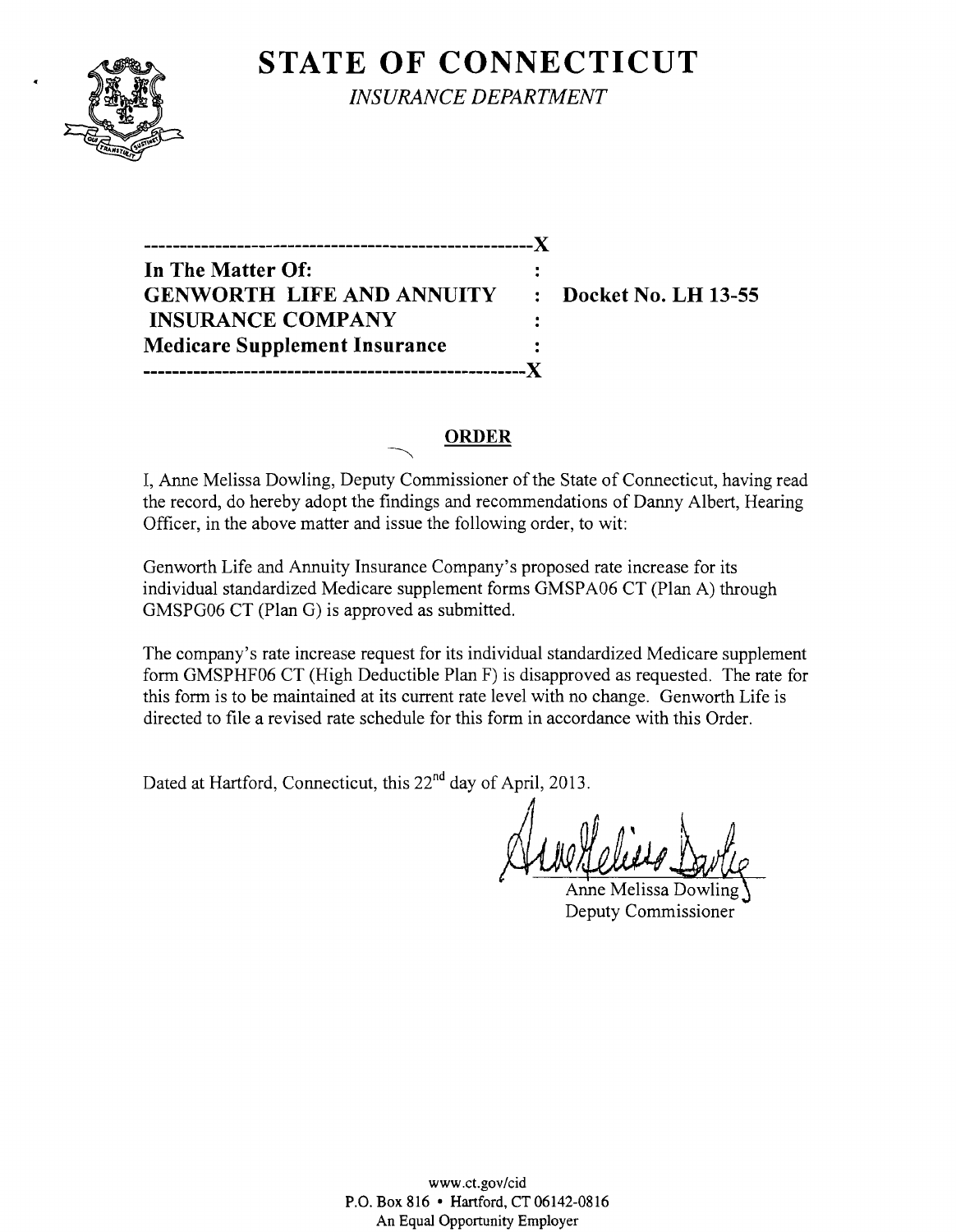# **STATE OF CONNECTICUT**



*INSURANCE DEPARTMENT* 

**------------------------------------------------------**)( **In The Matter Of: GENWORTH LIFE AND ANNUITY : Docket No. LH 13-55 INSURANCE COMPANY Medicare Supplement Insurance -----------------------------------------------------){** 

### **ORDER**

 $\ddot{\cdot}$ 

I, Anne Melissa Dowling, Deputy Commissioner of the State of Connecticut, having read the record, do hereby adopt the findings and recommendations of Danny Albert, Hearing Officer, in the above matter and issue the following order, to wit:

Genworth Life and Annuity Insurance Company's proposed rate increase for its individual standardized Medicare supplement forms GMSPA06 CT (Plan A) through GMSPG06 CT (Plan G) is approved as submitted.

The company's rate increase request for its individual standardized Medicare supplement form GMSPHF06 CT (High Deductible Plan F) is disapproved as requested. The rate for this form is to be maintained at its current rate level with no change. Genworth Life is directed to file a revised rate schedule for this form in accordance with this Order.

Dated at Hartford, Connecticut, this 22<sup>nd</sup> day of April, 2013.

 $\Delta$ une Helisse Day

Anne Melissa Do Deputy Commissioner

www.ct.gov/cid P.O. Box 816 • Hartford, CT06142-0816 An Equal Opportunity Employer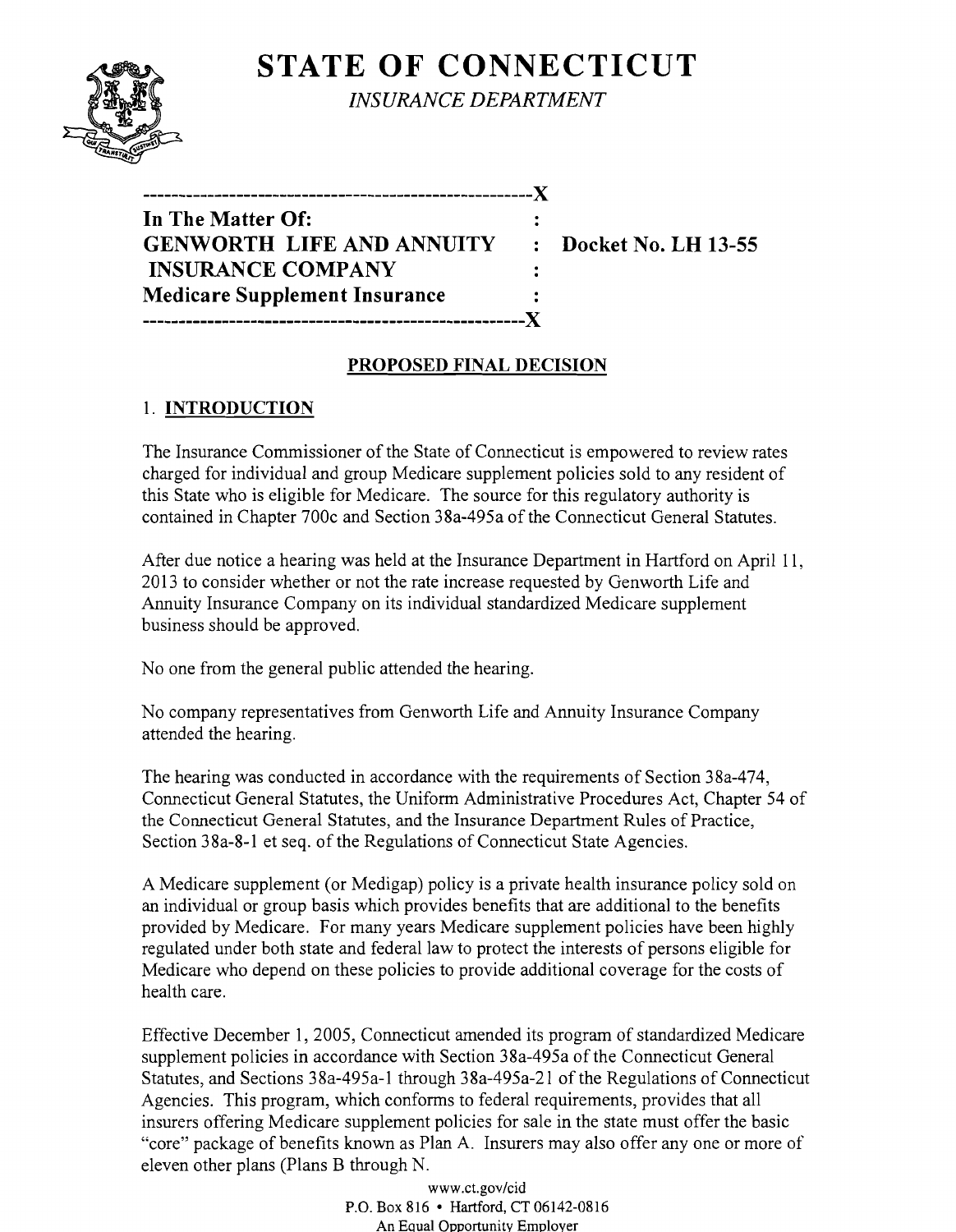**STATE OF CONNECTICUT** 

*INSURANCE DEPARTMENT* 

| -------------------------------      |           |
|--------------------------------------|-----------|
| In The Matter Of:                    |           |
| <b>GENWORTH LIFE AND ANNUITY</b>     | $\bullet$ |
| <b>INSURANCE COMPANY</b>             |           |
| <b>Medicare Supplement Insurance</b> |           |
| -----------------------------        |           |

**EDOCKET NO. LH 13-55** 

### **PROPOSED FINAL DECISION**

## 1. **INTRODUCTION**

The Insurance Commissioner of the State of Connecticut is empowered to review rates charged for individual and group Medicare supplement policies sold to any resident of this State who is eligible for Medicare. The source for this regulatory authority is contained in Chapter 700c and Section 38a-495a of the Connecticut General Statutes.

After due notice a hearing was held at the Insurance Department in Hartford on April 11, 2013 to consider whether or not the rate increase requested by Genworth Life and Annuity Insurance Company on its individual standardized Medicare supplement business should be approved.

No one from the general public attended the hearing.

No company representatives from Genworth Life and Annuity Insurance Company attended the hearing.

The hearing was conducted in accordance with the requirements of Section 38a-474, Connecticut General Statutes, the Uniform Administrative Procedures Act, Chapter 54 of the Connecticut General Statutes, and the Insurance Department Rules of Practice, Section 38a-8-1 et seq. of the Regulations of Connecticut State Agencies.

A Medicare supplement (or Medigap) policy is a private health insurance policy sold on an individual or group basis which provides benefits that are additional to the benefits provided by Medicare. For many years Medicare supplement policies have been highly regulated under both state and federal law to protect the interests of persons eligible for Medicare who depend on these policies to provide additional coverage for the costs of health care.

Effective December 1, 2005, Connecticut amended its program of standardized Medicare supplement policies in accordance with Section 38a-495a of the Connecticut General Statutes, and Sections 38a-495a-1 through 38a-495a-2l of the Regulations of Connecticut Agencies. This program, which conforms to federal requirements, provides that all insurers offering Medicare supplement policies for sale in the state must offer the basic "core" package of benefits known as Plan A. Insurers may also offer anyone or more of eleven other plans (Plans B through N.

> www.cLgov/cid P.O. Box 816 • Hartford, CT 06142-0816 An Equal Opportunity Employer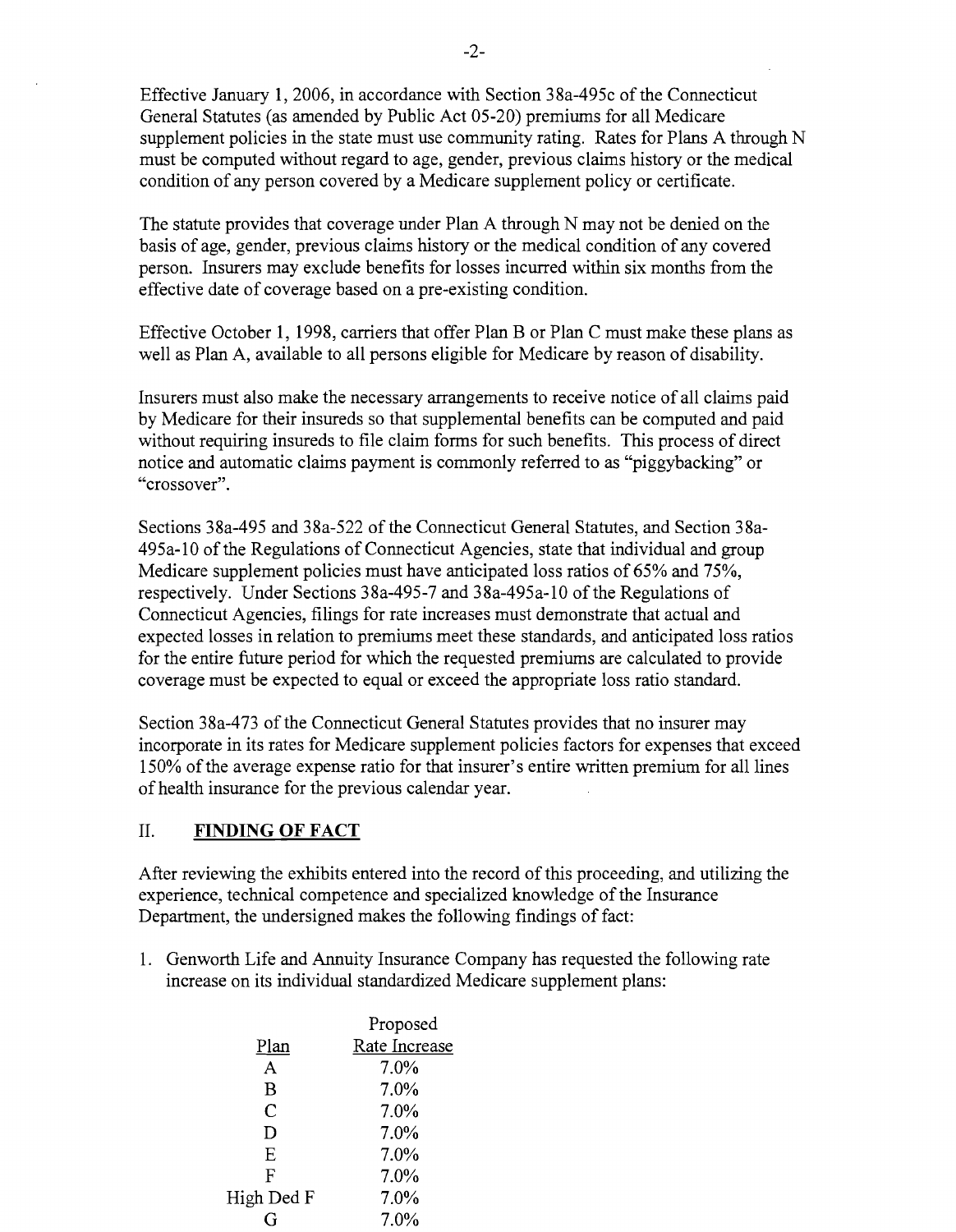Effective January 1,2006, in accordance with Section 38a-495c of the Connecticut General Statutes (as amended by Public Act 05-20) premiums for all Medicare supplement policies in the state must use community rating. Rates for Plans A through N must be computed without regard to age, gender, previous claims history or the medical condition of any person covered by a Medicare supplement policy or certificate.

The statute provides that coverage under Plan A through N may not be denied on the basis of age, gender, previous claims history or the medical condition of any covered person. Insurers may exclude benefits for losses incurred within six months from the effective date of coverage based on a pre-existing condition.

Effective October 1, 1998, carriers that offer Plan B or Plan C must make these plans as well as Plan A, available to all persons eligible for Medicare by reason of disability.

Insurers must also make the necessary arrangements to receive notice of all claims paid by Medicare for their insureds so that supplemental benefits can be computed and paid without requiring insureds to file claim forms for such benefits. This process of direct notice and automatic claims payment is commonly referred to as "piggybacking" or "crossover".

Sections 38a-495 and 38a-522 of the Connecticut General Statutes, and Section 38a-495a-10 of the Regulations of Connecticut Agencies, state that individual and group Medicare supplement policies must have anticipated loss ratios of 65% and 75%, respectively. Under Sections 38a-495-7 and 38a-495a-10 of the Regulations of Connecticut Agencies, filings for rate increases must demonstrate that actual and expected losses in relation to premiums meet these standards, and anticipated loss ratios for the entire future period for which the requested premiums are calculated to provide coverage must be expected to equal or exceed the appropriate loss ratio standard.

Section 38a-473 of the Connecticut General Statutes provides that no insurer may incorporate in its rates for Medicare supplement policies factors for expenses that exceed 150% of the average expense ratio for that insurer's entire written premium for all lines of health insurance for the previous calendar year.

#### II. **FINDING OF FACT**

After reviewing the exhibits entered into the record of this proceeding, and utilizing the experience, technical competence and specialized knowledge of the Insurance Department, the undersigned makes the following findings of fact:

1. Genworth Life and Annuity Insurance Company has requested the following rate increase on its individual standardized Medicare supplement plans:

|                | Proposed      |
|----------------|---------------|
| Plan           | Rate Increase |
| A              | 7.0%          |
| B              | 7.0%          |
| $\overline{C}$ | 7.0%          |
| D              | 7.0%          |
| Ε              | 7.0%          |
| F              | 7.0%          |
| High Ded F     | 7.0%          |
|                | 7.0%          |
|                |               |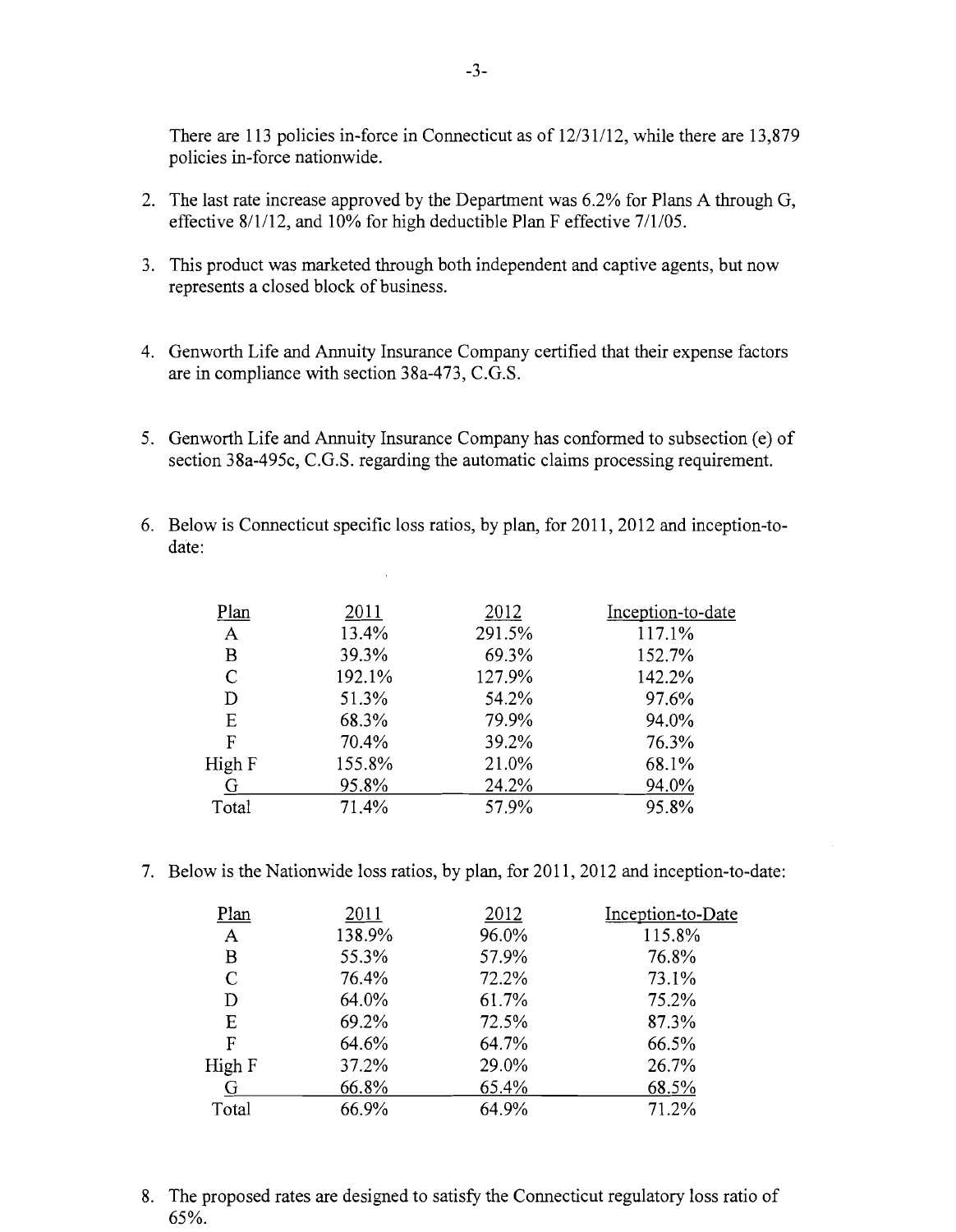There are 113 policies in-force in Connecticut as of 12/31/12, while there are 13,879 policies in-force nationwide.

- 2. The last rate increase approved by the Department was 6.2% for Plans A through G, effective 8/1/12, and 10% for high deductible Plan F effective 7/1/05.
- 3. This product was marketed through both independent and captive agents, but now represents a closed block of business.
- 4. Genworth Life and Annuity Insurance Company certified that their expense factors are in compliance with section 38a-473, C.G.S.
- 5. Genworth Life and Annuity Insurance Company has conformed to subsection (e) of section 38a-495c, C.G.S. regarding the automatic claims processing requirement.
- 6. Below is Connecticut specific loss ratios, by plan, for 2011,2012 and inception-todate:

 $\bar{z}$ 

| Plan   | 2011   | 2012   | Inception-to-date |
|--------|--------|--------|-------------------|
| A      | 13.4%  | 291.5% | 117.1%            |
| B      | 39.3%  | 69.3%  | 152.7%            |
| C      | 192.1% | 127.9% | 142.2%            |
| D      | 51.3%  | 54.2%  | 97.6%             |
| E      | 68.3%  | 79.9%  | 94.0%             |
| F      | 70.4%  | 39.2%  | 76.3%             |
| High F | 155.8% | 21.0%  | 68.1%             |
| G      | 95.8%  | 24.2%  | 94.0%             |
| Total  | 71.4%  | 57.9%  | 95.8%             |
|        |        |        |                   |

7. Below is the Nationwide loss ratios, by plan, for 2011, 2012 and inception-to-date:

| Plan           | 2011   | 2012  | Inception-to-Date |
|----------------|--------|-------|-------------------|
| A              | 138.9% | 96.0% | 115.8%            |
| B              | 55.3%  | 57.9% | 76.8%             |
| $\overline{C}$ | 76.4%  | 72.2% | 73.1%             |
| D              | 64.0%  | 61.7% | 75.2%             |
| E              | 69.2%  | 72.5% | 87.3%             |
| F              | 64.6%  | 64.7% | 66.5%             |
| High F         | 37.2%  | 29.0% | 26.7%             |
| G              | 66.8%  | 65.4% | 68.5%             |
| Total          | 66.9%  | 64.9% | 71.2%             |

8. The proposed rates are designed to satisfy the Connecticut regulatory loss ratio of 65%.